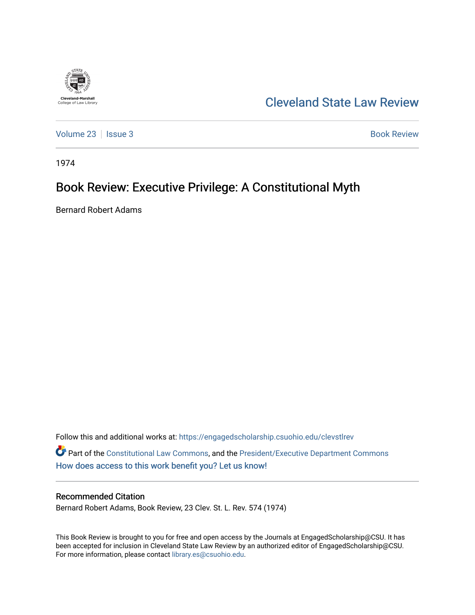

[Cleveland State Law Review](https://engagedscholarship.csuohio.edu/clevstlrev) 

[Volume 23](https://engagedscholarship.csuohio.edu/clevstlrev/vol23) | [Issue 3](https://engagedscholarship.csuohio.edu/clevstlrev/vol23/iss3) Book Review

1974

## Book Review: Executive Privilege: A Constitutional Myth

Bernard Robert Adams

Follow this and additional works at: [https://engagedscholarship.csuohio.edu/clevstlrev](https://engagedscholarship.csuohio.edu/clevstlrev?utm_source=engagedscholarship.csuohio.edu%2Fclevstlrev%2Fvol23%2Fiss3%2F10&utm_medium=PDF&utm_campaign=PDFCoverPages) Part of the [Constitutional Law Commons,](http://network.bepress.com/hgg/discipline/589?utm_source=engagedscholarship.csuohio.edu%2Fclevstlrev%2Fvol23%2Fiss3%2F10&utm_medium=PDF&utm_campaign=PDFCoverPages) and the [President/Executive Department Commons](http://network.bepress.com/hgg/discipline/1118?utm_source=engagedscholarship.csuohio.edu%2Fclevstlrev%2Fvol23%2Fiss3%2F10&utm_medium=PDF&utm_campaign=PDFCoverPages) [How does access to this work benefit you? Let us know!](http://library.csuohio.edu/engaged/)

## Recommended Citation

Bernard Robert Adams, Book Review, 23 Clev. St. L. Rev. 574 (1974)

This Book Review is brought to you for free and open access by the Journals at EngagedScholarship@CSU. It has been accepted for inclusion in Cleveland State Law Review by an authorized editor of EngagedScholarship@CSU. For more information, please contact [library.es@csuohio.edu.](mailto:library.es@csuohio.edu)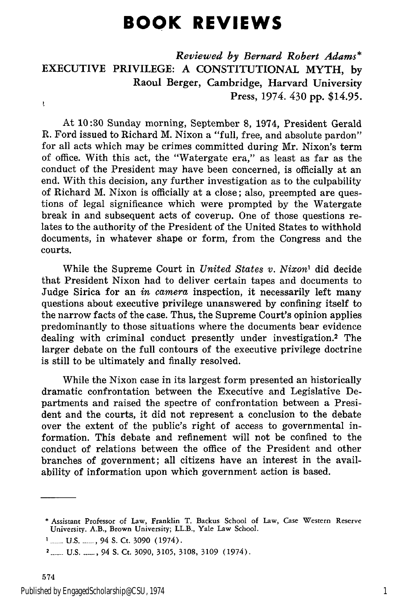## **BOOK REVIEWS**

*Reviewed by Bernard Robert Adams\** EXECUTIVE PRIVILEGE: A CONSTITUTIONAL MYTH, by Raoul Berger, Cambridge, Harvard University Press, 1974. 430 pp. \$14.95. ţ

At 10:30 Sunday morning, September 8, 1974, President Gerald R. Ford issued to Richard M. Nixon a "full, free, and absolute pardon" for all acts which may be crimes committed during Mr. Nixon's term of office. With this act, the "Watergate era," as least as far as the conduct of the President may have been concerned, is officially at an end. With this decision, any further investigation as to the culpability of Richard M. Nixon is officially at a close; also, preempted are questions of legal significance which were prompted by the Watergate break in and subsequent acts of coverup. One of those questions relates to the authority of the President of the United States to withhold documents, in whatever shape or form, from the Congress and the courts.

While the Supreme Court in *United States v. Nixon'* did decide that President Nixon had to deliver certain tapes and documents to Judge Sirica for an *in camera* inspection, it necessarily left many questions about executive privilege unanswered by confining itself to the narrow facts of the case. Thus, the Supreme Court's opinion applies predominantly to those situations where the documents bear evidence dealing with criminal conduct presently under investigation.2 The larger debate on the full contours of the executive privilege doctrine is still to be ultimately and finally resolved.

While the Nixon case in its largest form presented an historically dramatic confrontation between the Executive and Legislative Departments and raised the spectre of confrontation between a President and the courts, it did not represent a conclusion to the debate over the extent of the public's right of access to governmental information. This debate and refinement will not be confined to the conduct of relations between the office of the President and other branches of government; all citizens have an interest in the availability of information upon which government action is based.

<sup>\*</sup> Assistant Professor of Law, Franklin T. Backus School of Law, Case Western Reserve University. A.B., Brown University; LL.B., Yale Law School.

<sup>&</sup>lt;sup>1</sup> ...... U.S. ......, 94 S. Ct. 3090 (1974).

**<sup>2.....</sup> U.S.** 94 **S.** Ct. **3090,** 3105, 3108, 3109 (1974).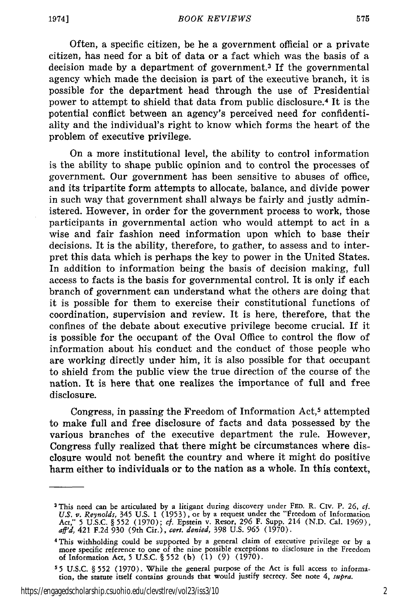Often, a specific citizen, be he a government official or a private citizen, has need for a bit of data or a fact which was the basis of a decision made by a department of government.<sup>3</sup> If the governmental agency which made the decision is part of the executive branch, it is possible for the department head through the use of Presidential power to attempt to shield that data from public disclosure. 4 It is the potential conflict between an agency's perceived need for confidentiality and the individual's right to know which forms the heart of the problem of executive privilege.

On a more institutional level, the ability to control information is the ability to shape public opinion and to control the processes of government. Our government has been sensitive to abuses of office, and its tripartite form attempts to allocate, balance, and divide power in such way that government shall always be fairly and justly administered. However, in order for the government process to work, those participants in governmental action who would attempt to act in a wise and fair fashion need information upon which to base their decisions. It is the ability, therefore, to gather, to assess and to interpret this data which is perhaps the key to power in the United States. In addition to information being the basis of decision making, full access to facts is the basis for governmental control. It is only if each branch of government can understand what the others are doing that it is possible for them to exercise their constitutional functions of coordination, supervision and review. It is here, therefore, that the confines of the debate about executive privilege become crucial. If it is possible for the occupant of the Oval Office to control the flow of information about his conduct and the conduct of those people who are working directly under him, it is also possible for that occupant to shield from the public view the true direction of the course of the nation. It is here that one realizes the importance of full and free disclosure.

Congress, in passing the Freedom of Information Act,<sup>5</sup> attempted to make full and free disclosure of facts and data possessed by the various branches of the executive department the rule. However, Congress fully realized that there might be circumstances where disclosure would not benefit the country and where it might do positive harm either to individuals or to the nation as a whole. In this context,

https://engagedscholarship.csuohio.edu/clevstlrev/vol23/iss3/10 2

**<sup>3</sup>** This need can be articulated by a litigant during discovery under FED. R. Civ. P. **26,** *cf.* U.S. v. Reynolds, 345 U.S. 1 (1953), or by a request under the "Freedom of Information<br>Act," 5 U.S.C. § 552 (1970); cf. Epstein v. Resor, 296 F. Supp. 214 (N.D. Cal. 1969)<br>aff'd, 421 F.2d 930 (9th Cir.), cert. denied, 398

**<sup>4</sup>** This withholding could be supported by a general claim of executive privilege or by a more specific reference to one of the nine possible exceptions to disclosure in the Freedom of Information Act, **5** U.S.C. § **552** (b) (1) **(9)** (1970).

**<sup>55</sup>** U.S.C. § **552** (1970). While the general purpose of the Act is full access to information, the statute itself contains grounds that would justify secrecy. See note 4, *supra.*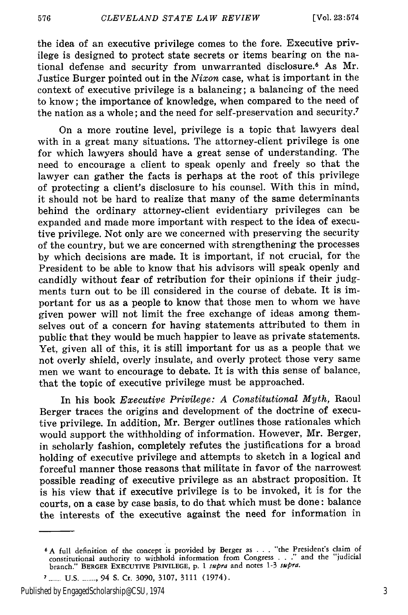the idea of an executive privilege comes to the fore. Executive privilege is designed to protect state secrets or items bearing on the national defense and security from unwarranted disclosure.<sup>6</sup> As Mr. Justice Burger pointed out in the *Nixon* case, what is important in the context of executive privilege is a balancing; a balancing of the need to know; the importance of knowledge, when compared to the need of the nation as a whole; and the need for self-preservation and security.7

On a more routine level, privilege is a topic that lawyers deal with in a great many situations. The attorney-client privilege is one for which lawyers should have a great sense of understanding. The need to encourage a client to speak openly and freely so that the lawyer can gather the facts is perhaps at the root of this privilege of protecting a client's disclosure to his counsel. With this in mind, it should not be hard to realize that many of the same determinants behind the ordinary attorney-client evidentiary privileges can be expanded and made more important with respect to the idea of executive privilege. Not only are we concerned with preserving the security of the country, but we are concerned with strengthening the processes **by** which decisions are made. It is important, if not crucial, for the President to be able to know that his advisors will speak openly and candidly without fear of retribution for their opinions if their **judg**ments turn out to be ill considered in the course of debate. It is important for us as a people to know that those men to whom we have given power will not limit the free exchange of ideas among themselves out of a concern for having statements attributed to them in public that they would be much happier to leave as private statements. Yet, given all of this, it is still important for us as a people that we not overly shield, overly insulate, and overly protect those very same men we want to encourage to debate. It is with this sense of balance, that the topic of executive privilege must be approached.

In his book *Executive Privilege: A Constitutional Myth,* Raoul Berger traces the origins and development of the doctrine of executive privilege. In addition, Mr. Berger outlines those rationales which would support the withholding of information. However, Mr. Berger, in scholarly fashion, completely refutes the justifications for a broad holding of executive privilege and attempts to sketch in a logical and forceful manner those reasons that militate in favor of the narrowest possible reading of executive privilege as an abstract proposition. It is his view that if executive privilege is to be invoked, it is for the courts, on a case by case basis, to do that which must be done: balance the interests of the executive against the need for information in

Published by EngagedScholarship@CSU, 1974 3

**<sup>6</sup>** A full definition of the concept is provided by Berger as **. . .** "the President's claim of constitutional authority to withhold information from Congress **. . ."** and the "judicial branch." **BERGER** EXECUTIVE **PRIVILEGE, p.** 1 *supra* and notes 1-3 *supra.*

**<sup>7 .....</sup> U.S** ........ 94 S. Ct. **3090,** 3107, 3111 (1974).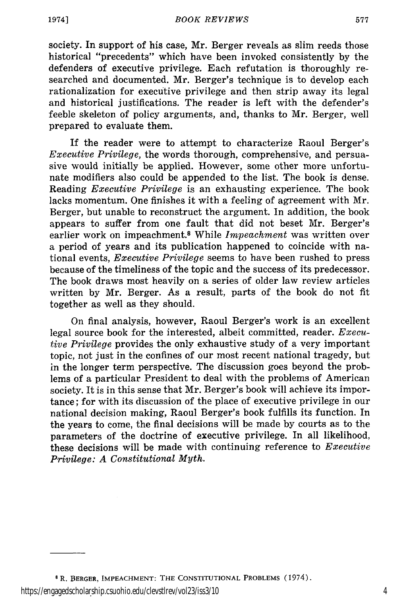1974]

society. In support of his case, Mr. Berger reveals as slim reeds those historical "precedents" which have been invoked consistently by the defenders of executive privilege. Each refutation is thoroughly researched and documented. Mr. Berger's technique is to develop each rationalization for executive privilege and then strip away its legal and historical justifications. The reader is left with the defender's feeble skeleton of policy arguments, and, thanks to Mr. Berger, well prepared to evaluate them.

If the reader were to attempt to characterize Raoul Berger's *Executive Privilege,* the words thorough, comprehensive, and persuasive would initially be applied. However, some other more unfortunate modifiers also could be appended to the list. The book is dense. Reading *Executive Privilege* is an exhausting experience. The book lacks momentum. One finishes it with a feeling of agreement with Mr. Berger, but unable to reconstruct the argument. In addition, the book appears to suffer from one fault that did not beset Mr. Berger's earlier work on impeachment. 8 While *Impeachment* was written over a period of years and its publication happened to coincide with national events, *Executive Privilege* seems to have been rushed to press because of the timeliness of the topic and the success of its predecessor. The book draws most heavily on a series of older law review articles written by Mr. Berger. As a result, parts of the book do not fit together as well as they should.

On final analysis, however, Raoul Berger's work is an excellent legal source book for the interested, albeit committed, reader. *Executive Privilege* provides the only exhaustive study of a very important topic, not just in the confines of our most recent national tragedy, but in the longer term perspective. The discussion goes beyond the problems of a particular President to deal with the problems of American society. It is in this sense that Mr. Berger's book will achieve its importance; for with its discussion of the place of executive privilege in our national decision making, Raoul Berger's book fulfills its function. In the years to come, the final decisions will be made by courts as to the parameters of the doctrine of executive privilege. In all likelihood, these decisions will be made with continuing reference to *Executive Privilege: A Constitutional Myth.*

**<sup>8</sup> R.** BERGER, **IMPEACHMENT:** THE **CONSTITUTIONAL** PROBLEMS **(1974).** https://engagedscholarship.csuohio.edu/clevstlrev/vol23/iss3/10 4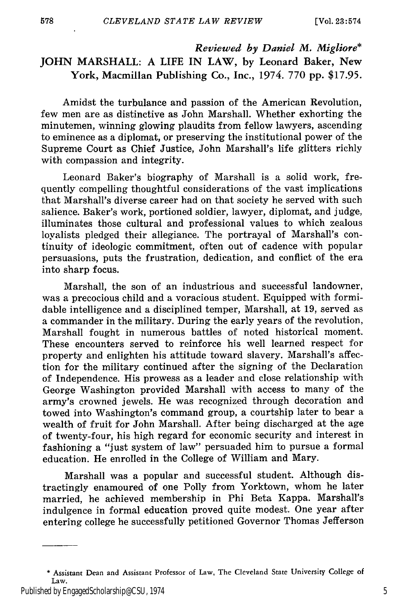## *Reviewed by Daniel M. Migliore\** JOHN MARSHALL: A **LIFE** IN LAW, by Leonard Baker, New York, Macmillan Publishing Co., Inc., 1974. 770 pp. \$17.95.

Amidst the turbulance and passion of the American Revolution, few men are as distinctive as John Marshall. Whether exhorting the minutemen, winning glowing plaudits from fellow lawyers, ascending to eminence as a diplomat, or preserving the institutional power of the Supreme Court as Chief Justice, John Marshall's life glitters richly with compassion and integrity.

Leonard Baker's biography of Marshall is a solid work, frequently compelling thoughtful considerations of the vast implications that Marshall's diverse career had on that society he served with such salience. Baker's work, portioned soldier, lawyer, diplomat, and judge, illuminates those cultural and professional values to which zealous loyalists pledged their allegiance. The portrayal of Marshall's continuity of ideologic commitment, often out of cadence with popular persuasions, puts the frustration, dedication, and conflict of the era into sharp focus.

Marshall, the son of an industrious and successful landowner, was a precocious child and a voracious student. Equipped with formidable intelligence and a disciplined temper, Marshall, at 19, served as a commander in the military. During the early years of the revolution, Marshall fought in numerous battles of noted historical moment. These encounters served to reinforce his well learned respect for property and enlighten his attitude toward slavery. Marshall's affection for the military continued after the signing of the Declaration of Independence. His prowess as a leader and close relationship with George Washington provided Marshall with access to many of the army's crowned jewels. He was recognized through decoration and towed into Washington's command group, a courtship later to bear a wealth of fruit for John Marshall. After being discharged at the age of twenty-four, his high regard for economic security and interest in fashioning a "just system of law" persuaded him to pursue a formal education. He enrolled in the College of William and Mary.

Marshall was a popular and successful student. Although distractingly enamoured of one Polly from Yorktown, whom he later married, he achieved membership in Phi Beta Kappa. Marshall's indulgence in formal education proved quite modest. One year after entering college he successfully petitioned Governor Thomas Jefferson

<sup>\*</sup> Assistant Dean and Assistant Professor of Law, The Cleveland State University College of Law.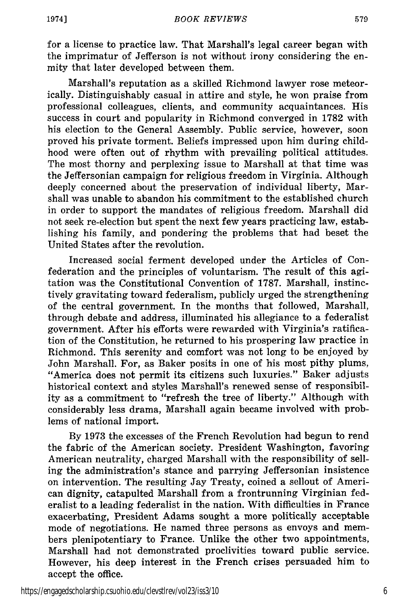19741

579

for a license to practice law. That Marshall's legal career began with the imprimatur of Jefferson is not without irony considering the enmity that later developed between them.

Marshall's reputation as a skilled Richmond lawyer rose meteorically. Distinguishably casual in attire and style, he won praise from professional colleagues, clients, and community acquaintances. His success in court and popularity in Richmond converged in 1782 with his election to the General Assembly. Public service, however, soon proved his private torment. Beliefs impressed upon him during childhood were often out of rhythm with prevailing political attitudes. The most thorny and perplexing issue to Marshall at that time was the Jeffersonian campaign for religious freedom in Virginia. Although deeply concerned about the preservation of individual liberty, Marshall was unable to abandon his commitment to the established church in order to support the mandates of religious freedom. Marshall did not seek re-election but spent the next few years practicing law, establishing his family, and pondering the problems that had beset the United States after the revolution.

Increased social ferment developed under the Articles of Confederation and the principles of voluntarism. The result of this agitation was the Constitutional Convention of 1787. Marshall, instinctively gravitating toward federalism, publicly urged the strengthening of the central government. In the months that followed, Marshall, through debate and address, illuminated his allegiance to a federalist government. After his efforts were rewarded with Virginia's ratification of the Constitution, he returned to his prospering law practice in Richmond. This serenity and comfort was not long to be enjoyed by John Marshall. For, as Baker posits in one of his most pithy plums, "America does not permit its citizens such luxuries." Baker adjusts historical context and styles Marshall's renewed sense of responsibility as a commitment to "refresh the tree of liberty." Although with considerably less drama, Marshall again became involved with problems of national import.

By 1973 the excesses of the French Revolution had begun to rend the fabric of the American society. President Washington, favoring American neutrality, charged Marshall with the responsibility of selling the administration's stance and parrying Jeffersonian insistence on intervention. The resulting Jay Treaty, coined a sellout of American dignity, catapulted Marshall from a frontrunning Virginian federalist to a leading federalist in the nation. With difficulties in France exacerbating, President Adams sought a more politically acceptable mode of negotiations. He named three persons as envoys and members plenipotentiary to France. Unlike the other two appointments, Marshall had not demonstrated proclivities toward public service. However, his deep interest in the French crises persuaded him to accept the office.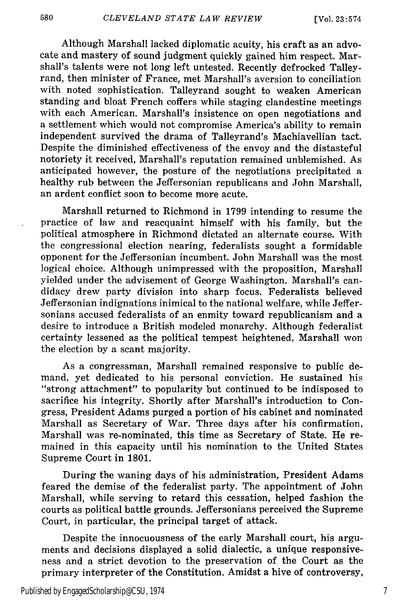580

Although Marshall lacked diplomatic acuity, his craft as an advocate and mastery of sound judgment quickly gained him respect. Marshall's talents were not long left untested. Recently defrocked Talleyrand, then minister of France, met Marshall's aversion to conciliation with noted sophistication. Talleyrand sought to weaken American standing and bloat French coffers while staging clandestine meetings with each American. Marshall's insistence on open negotiations and a settlement which would not compromise America's ability to remain independent survived the drama of Talleyrand's Machiavellian tact. Despite the diminished effectiveness of the envoy and the distasteful notoriety it received, Marshall's reputation remained unblemished. As anticipated however, the posture of the negotiations precipitated a healthy rub between the Jeffersonian republicans and John Marshall, an ardent conflict soon to become more acute.

Marshall returned to Richmond in 1799 intending to resume the practice of law and reacquaint himself with his family, but the political atmosphere in Richmond dictated an alternate course. With the congressional election nearing, federalists sought a formidable opponent for the Jeffersonian incumbent. John Marshall was the most logical choice. Although unimpressed with the proposition, Marshall yielded under the advisement of George Washington. Marshall's candidacy drew party division into sharp focus. Federalists believed Jeffersonian indignations inimical to the national welfare, while Jeffersonians accused federalists of an enmity toward republicanism and a desire to introduce a British modeled monarchy. Although federalist certainty lessened as the political tempest heightened, Marshall won the election by a scant majority.

As a congressman, Marshall remained responsive to public demand, yet dedicated to his personal conviction. He sustained his "strong attachment" to popularity but continued to be indisposed to sacrifice his integrity. Shortly after Marshall's introduction to Congress, President Adams purged a portion of his cabinet and nominated Marshall as Secretary of War. Three days after his confirmation, Marshall was re-nominated, this time as Secretary of State. He remained in this capacity until his nomination to the United States Supreme Court in 1801.

During the waning days of his administration, President Adams feared the demise of the federalist party. The appointment of John Marshall, while serving to retard this cessation, helped fashion the courts as political battle grounds. Jeffersonians perceived the Supreme Court, in particular, the principal target of attack.

Despite the innocuousness of the early Marshall court, his arguments and decisions displayed a solid dialectic, a unique responsiveness and a strict devotion to the preservation of the Court as the primary interpreter of the Constitution. Amidst a hive of controversy,